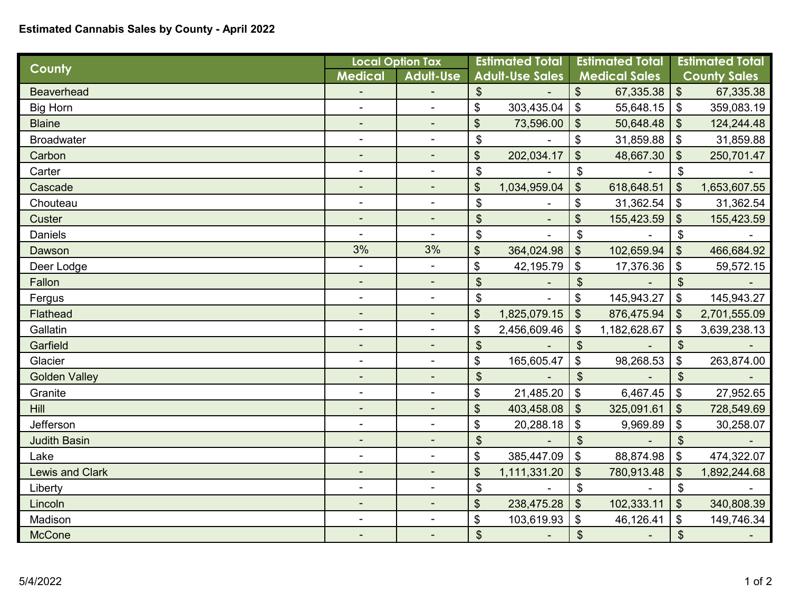## **Estimated Cannabis Sales by County - April 2022**

| <b>County</b>          | <b>Local Option Tax</b>      |                          | <b>Estimated Total</b>     |              | <b>Estimated Total</b>    |              | <b>Estimated Total</b>     |              |
|------------------------|------------------------------|--------------------------|----------------------------|--------------|---------------------------|--------------|----------------------------|--------------|
|                        | <b>Medical</b>               | <b>Adult-Use</b>         | <b>Adult-Use Sales</b>     |              | <b>Medical Sales</b>      |              | <b>County Sales</b>        |              |
| <b>Beaverhead</b>      |                              |                          | $\boldsymbol{\mathsf{S}}$  |              | \$                        | 67,335.38    | $\boldsymbol{\mathsf{S}}$  | 67,335.38    |
| <b>Big Horn</b>        | $\overline{\phantom{a}}$     |                          | \$                         | 303,435.04   | \$                        | 55,648.15    | \$                         | 359,083.19   |
| <b>Blaine</b>          |                              | $\overline{\phantom{0}}$ | \$                         | 73,596.00    | $\boldsymbol{\hat{\phi}}$ | 50,648.48    | $\boldsymbol{\mathsf{S}}$  | 124,244.48   |
| <b>Broadwater</b>      |                              |                          | \$                         |              | \$                        | 31,859.88    | $\boldsymbol{\mathsf{S}}$  | 31,859.88    |
| Carbon                 | $\blacksquare$               | $\blacksquare$           | \$                         | 202,034.17   | \$                        | 48,667.30    | \$                         | 250,701.47   |
| Carter                 | $\overline{\phantom{a}}$     | ÷,                       | \$                         |              | \$                        |              | $\boldsymbol{\mathsf{S}}$  |              |
| Cascade                | -                            |                          | \$                         | 1,034,959.04 | $\mathfrak{S}$            | 618,648.51   | $\mathfrak{S}$             | 1,653,607.55 |
| Chouteau               | $\overline{\phantom{a}}$     |                          | $\boldsymbol{\mathsf{\$}}$ |              | \$                        | 31,362.54    | $\boldsymbol{\mathsf{\$}}$ | 31,362.54    |
| Custer                 |                              |                          | $\boldsymbol{\mathsf{S}}$  |              | \$                        | 155,423.59   | $\boldsymbol{\mathsf{S}}$  | 155,423.59   |
| Daniels                | $\blacksquare$               | $\blacksquare$           | \$                         |              | \$                        |              | \$                         |              |
| Dawson                 | 3%                           | 3%                       | \$                         | 364,024.98   | \$                        | 102,659.94   | \$                         | 466,684.92   |
| Deer Lodge             | $\blacksquare$               | $\blacksquare$           | \$                         | 42,195.79    | \$                        | 17,376.36    | \$                         | 59,572.15    |
| Fallon                 |                              |                          | $\boldsymbol{\mathsf{S}}$  |              | $\boldsymbol{\mathsf{S}}$ |              | \$                         |              |
| Fergus                 | $\qquad \qquad \blacksquare$ |                          | \$                         |              | \$                        | 145,943.27   | \$                         | 145,943.27   |
| <b>Flathead</b>        |                              |                          | \$                         | 1,825,079.15 | $\boldsymbol{\mathsf{S}}$ | 876,475.94   | $\mathfrak{S}$             | 2,701,555.09 |
| Gallatin               | $\overline{\phantom{a}}$     |                          | \$                         | 2,456,609.46 | \$                        | 1,182,628.67 | \$                         | 3,639,238.13 |
| Garfield               | $\overline{\phantom{a}}$     | $\blacksquare$           | $\boldsymbol{\mathsf{S}}$  |              | $\boldsymbol{\mathsf{S}}$ |              | $\boldsymbol{\mathsf{S}}$  |              |
| Glacier                | $\blacksquare$               | $\blacksquare$           | \$                         | 165,605.47   | \$                        | 98,268.53    | \$                         | 263,874.00   |
| <b>Golden Valley</b>   | ٠                            |                          | $\mathfrak{S}$             |              | $\mathfrak{S}$            |              | $\mathfrak{S}$             |              |
| Granite                | $\overline{\phantom{a}}$     | ÷,                       | \$                         | 21,485.20    | $\boldsymbol{\mathsf{S}}$ | 6,467.45     | \$                         | 27,952.65    |
| <b>Hill</b>            |                              |                          | \$                         | 403,458.08   | $\boldsymbol{\theta}$     | 325,091.61   | $\boldsymbol{\mathsf{S}}$  | 728,549.69   |
| Jefferson              | ٠                            | $\blacksquare$           | \$                         | 20,288.18    | $\boldsymbol{\mathsf{S}}$ | 9,969.89     | \$                         | 30,258.07    |
| <b>Judith Basin</b>    |                              | ۰                        | $\frac{1}{2}$              |              | $\boldsymbol{\mathsf{S}}$ |              | $\boldsymbol{\mathsf{S}}$  |              |
| Lake                   | $\blacksquare$               | $\blacksquare$           | \$                         | 385,447.09   | $\boldsymbol{\mathsf{S}}$ | 88,874.98    | $\mathfrak{S}$             | 474,322.07   |
| <b>Lewis and Clark</b> |                              |                          | \$                         | 1,111,331.20 | \$                        | 780,913.48   | \$                         | 1,892,244.68 |
| Liberty                | $\qquad \qquad \blacksquare$ |                          | \$                         |              | \$                        |              | \$                         |              |
| Lincoln                | $\overline{\phantom{a}}$     | ۰                        | \$                         | 238,475.28   | $\boldsymbol{\mathsf{S}}$ | 102,333.11   | $\boldsymbol{\mathsf{S}}$  | 340,808.39   |
| Madison                |                              | $\overline{a}$           | \$                         | 103,619.93   | \$                        | 46,126.41    | \$                         | 149,746.34   |
| <b>McCone</b>          |                              | $\blacksquare$           | \$                         |              | $\boldsymbol{\hat{\phi}}$ |              | $\frac{1}{2}$              |              |